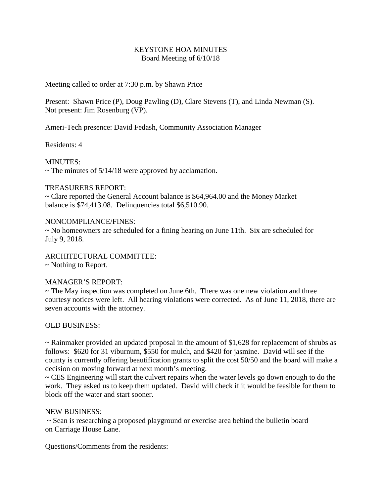#### KEYSTONE HOA MINUTES Board Meeting of 6/10/18

Meeting called to order at 7:30 p.m. by Shawn Price

Present: Shawn Price (P), Doug Pawling (D), Clare Stevens (T), and Linda Newman (S). Not present: Jim Rosenburg (VP).

Ameri-Tech presence: David Fedash, Community Association Manager

Residents: 4

MINUTES:  $\sim$  The minutes of 5/14/18 were approved by acclamation.

## TREASURERS REPORT:

~ Clare reported the General Account balance is \$64,964.00 and the Money Market balance is \$74,413.08. Delinquencies total \$6,510.90.

## NONCOMPLIANCE/FINES:

~ No homeowners are scheduled for a fining hearing on June 11th. Six are scheduled for July 9, 2018.

ARCHITECTURAL COMMITTEE:

~ Nothing to Report.

# MANAGER'S REPORT:

~ The May inspection was completed on June 6th. There was one new violation and three courtesy notices were left. All hearing violations were corrected. As of June 11, 2018, there are seven accounts with the attorney.

# OLD BUSINESS:

~ Rainmaker provided an updated proposal in the amount of \$1,628 for replacement of shrubs as follows: \$620 for 31 viburnum, \$550 for mulch, and \$420 for jasmine. David will see if the county is currently offering beautification grants to split the cost 50/50 and the board will make a decision on moving forward at next month's meeting.

~ CES Engineering will start the culvert repairs when the water levels go down enough to do the work. They asked us to keep them updated. David will check if it would be feasible for them to block off the water and start sooner.

#### NEW BUSINESS:

~ Sean is researching a proposed playground or exercise area behind the bulletin board on Carriage House Lane.

Questions/Comments from the residents: